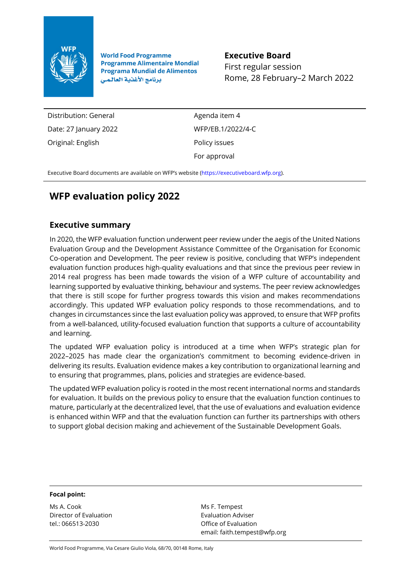

**World Food Programme Programme Alimentaire Mondial Programa Mundial de Alimentos** برنامج الأغذية العالمي

**Executive Board** First regular session Rome, 28 February–2 March 2022

Distribution: General Date: 27 January 2022 Original: English

Agenda item 4 WFP/EB.1/2022/4-C Policy issues For approval

Executive Board documents are available on WFP's website ([https://executiveboard.wfp.org\).](https://executiveboard.wfp.org/)

# **WFP evaluation policy 2022**

## **Executive summary**

In 2020, the WFP evaluation function underwent peer review under the aegis of the United Nations Evaluation Group and the Development Assistance Committee of the Organisation for Economic Co-operation and Development. The peer review is positive, concluding that WFP's independent evaluation function produces high-quality evaluations and that since the previous peer review in 2014 real progress has been made towards the vision of a WFP culture of accountability and learning supported by evaluative thinking, behaviour and systems. The peer review acknowledges that there is still scope for further progress towards this vision and makes recommendations accordingly. This updated WFP evaluation policy responds to those recommendations, and to changes in circumstances since the last evaluation policy was approved, to ensure that WFP profits from a well-balanced, utility-focused evaluation function that supports a culture of accountability and learning.

The updated WFP evaluation policy is introduced at a time when WFP's strategic plan for 2022–2025 has made clear the organization's commitment to becoming evidence-driven in delivering its results. Evaluation evidence makes a key contribution to organizational learning and to ensuring that programmes, plans, policies and strategies are evidence-based.

The updated WFP evaluation policy is rooted in the most recent international norms and standards for evaluation. It builds on the previous policy to ensure that the evaluation function continues to mature, particularly at the decentralized level, that the use of evaluations and evaluation evidence is enhanced within WFP and that the evaluation function can further its partnerships with others to support global decision making and achievement of the Sustainable Development Goals.

#### **Focal point:**

Ms A. Cook Director of Evaluation tel.: 066513-2030

Ms F. Tempest Evaluation Adviser Office of Evaluation email: faith.tempest@wfp.org

World Food Programme, Via Cesare Giulio Viola, 68/70, 00148 Rome, Italy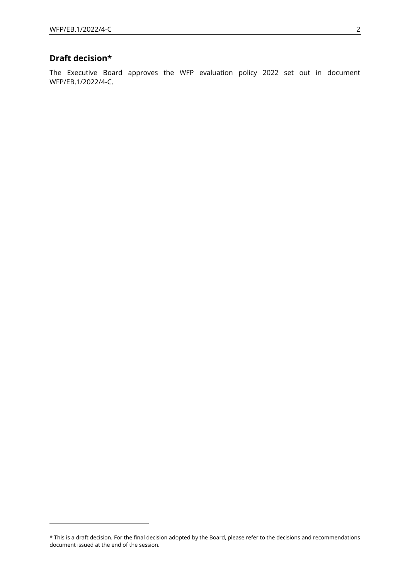## **Draft decision\***

The Executive Board approves the WFP evaluation policy 2022 set out in document WFP/EB.1/2022/4-C.

<sup>\*</sup> This is a draft decision. For the final decision adopted by the Board, please refer to the decisions and recommendations document issued at the end of the session.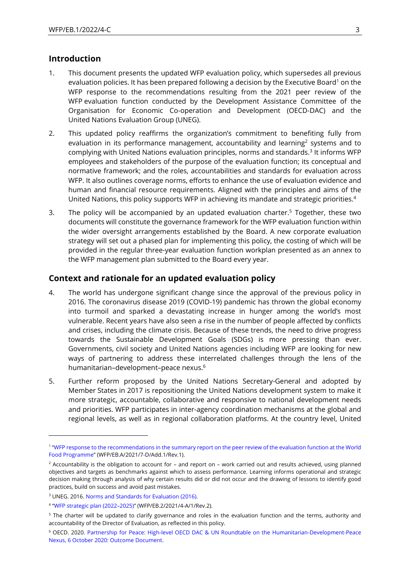## **Introduction**

- 1. This document presents the updated WFP evaluation policy, which supersedes all previous evaluation policies. It has been prepared following a decision by the Executive Board<sup>1</sup> on the WFP response to the recommendations resulting from the 2021 peer review of the WFP evaluation function conducted by the Development Assistance Committee of the Organisation for Economic Co-operation and Development (OECD-DAC) and the United Nations Evaluation Group (UNEG).
- 2. This updated policy reaffirms the organization's commitment to benefiting fully from evaluation in its performance management, accountability and learning<sup>2</sup> systems and to complying with United Nations evaluation principles, norms and standards.<sup>3</sup> It informs WFP employees and stakeholders of the purpose of the evaluation function; its conceptual and normative framework; and the roles, accountabilities and standards for evaluation across WFP. It also outlines coverage norms, efforts to enhance the use of evaluation evidence and human and financial resource requirements. Aligned with the principles and aims of the United Nations, this policy supports WFP in achieving its mandate and strategic priorities.<sup>4</sup>
- 3. The policy will be accompanied by an updated evaluation charter.<sup>5</sup> Together, these two documents will constitute the governance framework for the WFP evaluation function within the wider oversight arrangements established by the Board. A new corporate evaluation strategy will set out a phased plan for implementing this policy, the costing of which will be provided in the regular three-year evaluation function workplan presented as an annex to the WFP management plan submitted to the Board every year.

## **Context and rationale for an updated evaluation policy**

- 4. The world has undergone significant change since the approval of the previous policy in 2016. The coronavirus disease 2019 (COVID-19) pandemic has thrown the global economy into turmoil and sparked a devastating increase in hunger among the world's most vulnerable. Recent years have also seen a rise in the number of people affected by conflicts and crises, including the climate crisis. Because of these trends, the need to drive progress towards the Sustainable Development Goals (SDGs) is more pressing than ever. Governments, civil society and United Nations agencies including WFP are looking for new ways of partnering to address these interrelated challenges through the lens of the humanitarian–development–peace nexus.<sup>6</sup>
- 5. Further reform proposed by the United Nations Secretary-General and adopted by Member States in 2017 is repositioning the United Nations development system to make it more strategic, accountable, collaborative and responsive to national development needs and priorities. WFP participates in inter-agency coordination mechanisms at the global and regional levels, as well as in regional collaboration platforms. At the country level, United

<sup>1</sup> "[WFP response to the recommendations in the summary report on the peer review of the evaluation function at the World](https://executiveboard.wfp.org/document_download/WFP-0000127568)  [Food Programme](https://executiveboard.wfp.org/document_download/WFP-0000127568)" (WFP/EB.A/2021/7-D/Add.1/Rev.1).

 $2$  Accountability is the obligation to account for – and report on – work carried out and results achieved, using planned objectives and targets as benchmarks against which to assess performance. Learning informs operational and strategic decision making through analysis of why certain results did or did not occur and the drawing of lessons to identify good practices, build on success and avoid past mistakes.

<sup>3</sup> UNEG. 2016[. Norms and Standards for Evaluation](http://www.uneval.org/document/detail/1914) (2016).

<sup>4</sup> "[WFP strategic plan \(2022](https://executiveboard.wfp.org/document_download/WFP-0000132205)–2025)" (WFP/EB.2/2021/4-A/1/Rev.2).

<sup>&</sup>lt;sup>5</sup> The charter will be updated to clarify governance and roles in the evaluation function and the terms, authority and accountability of the Director of Evaluation, as reflected in this policy.

<sup>6</sup> OECD. 2020. [Partnership for Peace: High-level OECD DAC & UN Roundtable on the Humanitarian-Development-Peace](http://www.oecd.org/dac/development-assistance-committee/DAC-UN_HighLevel_Roundtable_Partnership_Peace_Outcome.pdf)  [Nexus, 6 October 2020: Outcome](http://www.oecd.org/dac/development-assistance-committee/DAC-UN_HighLevel_Roundtable_Partnership_Peace_Outcome.pdf) Document.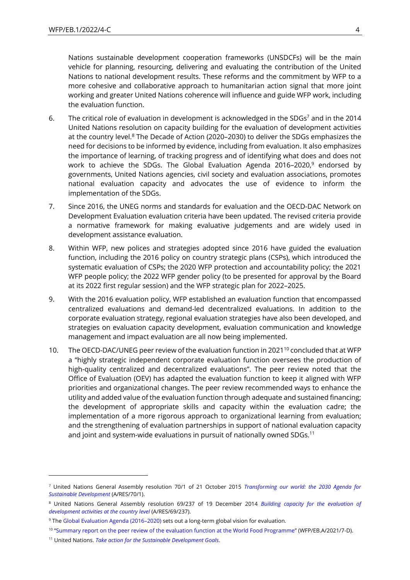Nations sustainable development cooperation frameworks (UNSDCFs) will be the main vehicle for planning, resourcing, delivering and evaluating the contribution of the United Nations to national development results. These reforms and the commitment by WFP to a more cohesive and collaborative approach to humanitarian action signal that more joint working and greater United Nations coherence will influence and guide WFP work, including the evaluation function.

- 6. The critical role of evaluation in development is acknowledged in the SDGs<sup>7</sup> and in the 2014 United Nations resolution on capacity building for the evaluation of development activities at the country level.<sup>8</sup> The Decade of Action (2020–2030) to deliver the SDGs emphasizes the need for decisions to be informed by evidence, including from evaluation. It also emphasizes the importance of learning, of tracking progress and of identifying what does and does not work to achieve the SDGs. The Global Evaluation Agenda 2016–2020,<sup>9</sup> endorsed by governments, United Nations agencies, civil society and evaluation associations, promotes national evaluation capacity and advocates the use of evidence to inform the implementation of the SDGs.
- 7. Since 2016, the UNEG norms and standards for evaluation and the OECD-DAC Network on Development Evaluation evaluation criteria have been updated. The revised criteria provide a normative framework for making evaluative judgements and are widely used in development assistance evaluation.
- 8. Within WFP, new polices and strategies adopted since 2016 have guided the evaluation function, including the 2016 policy on country strategic plans (CSPs), which introduced the systematic evaluation of CSPs; the 2020 WFP protection and accountability policy; the 2021 WFP people policy; the 2022 WFP gender policy (to be presented for approval by the Board at its 2022 first regular session) and the WFP strategic plan for 2022–2025.
- 9. With the 2016 evaluation policy, WFP established an evaluation function that encompassed centralized evaluations and demand-led decentralized evaluations. In addition to the corporate evaluation strategy, regional evaluation strategies have also been developed, and strategies on evaluation capacity development, evaluation communication and knowledge management and impact evaluation are all now being implemented.
- 10. The OECD-DAC/UNEG peer review of the evaluation function in 2021<sup>10</sup> concluded that at WFP a "highly strategic independent corporate evaluation function oversees the production of high-quality centralized and decentralized evaluations". The peer review noted that the Office of Evaluation (OEV) has adapted the evaluation function to keep it aligned with WFP priorities and organizational changes. The peer review recommended ways to enhance the utility and added value of the evaluation function through adequate and sustained financing; the development of appropriate skills and capacity within the evaluation cadre; the implementation of a more rigorous approach to organizational learning from evaluation; and the strengthening of evaluation partnerships in support of national evaluation capacity and joint and system-wide evaluations in pursuit of nationally owned SDGs.<sup>11</sup>

<sup>7</sup> United Nations General Assembly resolution 70/1 of 21 October 2015 *[Transforming our world: the 2030 Agenda for](https://www.un.org/en/development/desa/population/migration/generalassembly/docs/globalcompact/A_RES_70_1_E.pdf)  [Sustainable Development](https://www.un.org/en/development/desa/population/migration/generalassembly/docs/globalcompact/A_RES_70_1_E.pdf)* (A/RES/70/1).

<sup>8</sup> United Nations General Assembly resolution 69/237 of 19 December 2014 *[Building capacity for the evaluation of](https://www.un.org/ga/search/view_doc.asp?symbol=%20A/RES/69/237%20&Lang=E)  [development activities at the country level](https://www.un.org/ga/search/view_doc.asp?symbol=%20A/RES/69/237%20&Lang=E)* (A/RES/69/237).

<sup>9</sup> The [Global Evaluation Agenda \(2016](https://www.evalpartners.org/global-evaluation-agenda)–2020) sets out a long-term global vision for evaluation.

<sup>&</sup>lt;sup>10</sup> "[Summary report on the peer review of the evaluation function at the World Food Programme](https://executiveboard.wfp.org/document_download/WFP-0000127567)" (WFP/EB.A/2021/7-D).

<sup>11</sup> United Nations. *[Take action for the Sustainable Development Goals](http://www.un.org/sustainabledevelopment/sustainable-development-goals/)*[.](http://www.un.org/sustainabledevelopment/sustainable-development-goals/)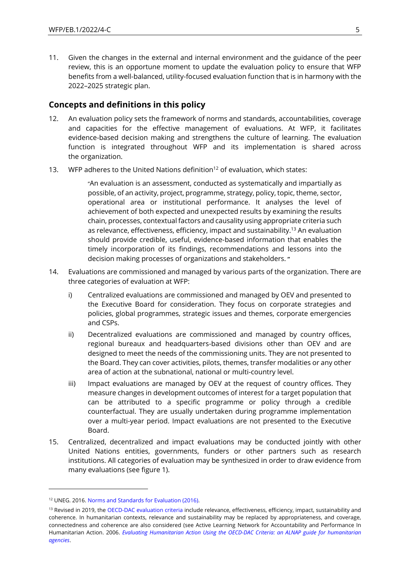11. Given the changes in the external and internal environment and the guidance of the peer review, this is an opportune moment to update the evaluation policy to ensure that WFP benefits from a well-balanced, utility-focused evaluation function that is in harmony with the 2022–2025 strategic plan.

## **Concepts and definitions in this policy**

- 12. An evaluation policy sets the framework of norms and standards, accountabilities, coverage and capacities for the effective management of evaluations. At WFP, it facilitates evidence-based decision making and strengthens the culture of learning. The evaluation function is integrated throughout WFP and its implementation is shared across the organization.
- 13. WFP adheres to the United Nations definition<sup>12</sup> of evaluation, which states:

"An evaluation is an assessment, conducted as systematically and impartially as possible, of an activity, project, programme, strategy, policy, topic, theme, sector, operational area or institutional performance. It analyses the level of achievement of both expected and unexpected results by examining the results chain, processes, contextual factors and causality using appropriate criteria such as relevance, effectiveness, efficiency, impact and sustainability.<sup>13</sup> An evaluation should provide credible, useful, evidence-based information that enables the timely incorporation of its findings, recommendations and lessons into the decision making processes of organizations and stakeholders. **"**

- 14. Evaluations are commissioned and managed by various parts of the organization. There are three categories of evaluation at WFP:
	- i) Centralized evaluations are commissioned and managed by OEV and presented to the Executive Board for consideration. They focus on corporate strategies and policies, global programmes, strategic issues and themes, corporate emergencies and CSPs.
	- ii) Decentralized evaluations are commissioned and managed by country offices, regional bureaux and headquarters-based divisions other than OEV and are designed to meet the needs of the commissioning units. They are not presented to the Board. They can cover activities, pilots, themes, transfer modalities or any other area of action at the subnational, national or multi-country level.
	- iii) Impact evaluations are managed by OEV at the request of country offices. They measure changes in development outcomes of interest for a target population that can be attributed to a specific programme or policy through a credible counterfactual. They are usually undertaken during programme implementation over a multi-year period. Impact evaluations are not presented to the Executive Board.
- 15. Centralized, decentralized and impact evaluations may be conducted jointly with other United Nations entities, governments, funders or other partners such as research institutions. All categories of evaluation may be synthesized in order to draw evidence from many evaluations (see figure 1).

<sup>12</sup> UNEG. 2016[. Norms and Standards for Evaluation \(2016\).](http://www.uneval.org/document/detail/1914)

<sup>&</sup>lt;sup>13</sup> Revised in 2019, the [OECD-DAC evaluation criteria](https://www.oecd.org/dac/evaluation/daccriteriaforevaluatingdevelopmentassistance.htm) include relevance, effectiveness, efficiency, impact, sustainability and coherence. In humanitarian contexts, relevance and sustainability may be replaced by appropriateness, and coverage, connectedness and coherence are also considered (see Active Learning Network for Accountability and Performance In Humanitarian Action. 2006. *Evaluating Humanitarian [Action Using the OECD-DAC Criteria: an ALNAP guide for humanitarian](https://www.alnap.org/help-library/evaluating-humanitarian-action-using-the-oecd-dac-criteria)  [agencies](https://www.alnap.org/help-library/evaluating-humanitarian-action-using-the-oecd-dac-criteria)*.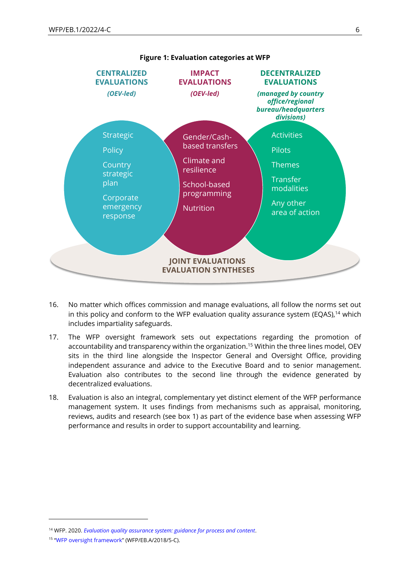

- 16. No matter which offices commission and manage evaluations, all follow the norms set out in this policy and conform to the WFP evaluation quality assurance system (EQAS),<sup>14</sup> which includes impartiality safeguards.
- 17. The WFP oversight framework sets out expectations regarding the promotion of accountability and transparency within the organization.<sup>15</sup> Within the three lines model, OEV sits in the third line alongside the Inspector General and Oversight Office, providing independent assurance and advice to the Executive Board and to senior management. Evaluation also contributes to the second line through the evidence generated by decentralized evaluations.
- 18. Evaluation is also an integral, complementary yet distinct element of the WFP performance management system. It uses findings from mechanisms such as appraisal, monitoring, reviews, audits and research (see box 1) as part of the evidence base when assessing WFP performance and results in order to support accountability and learning.

<sup>14</sup> WFP. 2020. *[Evaluation quality assurance system: guidance for process and content](https://www.wfp.org/publications/eqas-evaluation-quality-assurance-system-0)*.

<sup>15</sup> "[WFP oversight framework](https://executiveboard.wfp.org/document_download/WFP-0000070382)" (WFP/EB.A/2018/5-C).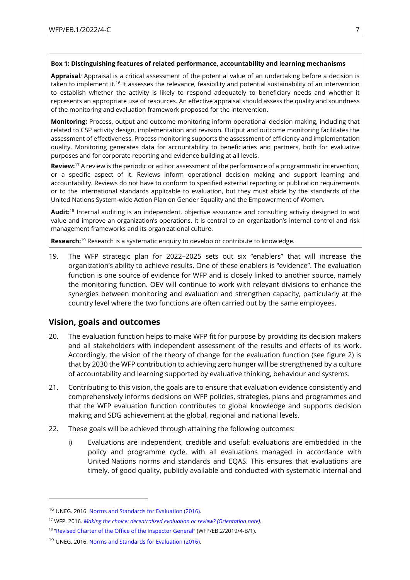#### **Box 1: Distinguishing features of related performance, accountability and learning mechanisms**

**Appraisal***:* Appraisal is a critical assessment of the potential value of an undertaking before a decision is taken to implement it.<sup>16</sup> It assesses the relevance, feasibility and potential sustainability of an intervention to establish whether the activity is likely to respond adequately to beneficiary needs and whether it represents an appropriate use of resources. An effective appraisal should assess the quality and soundness of the monitoring and evaluation framework proposed for the intervention.

**Monitoring:** Process, output and outcome monitoring inform operational decision making, including that related to CSP activity design, implementation and revision. Output and outcome monitoring facilitates the assessment of effectiveness. Process monitoring supports the assessment of efficiency and implementation quality. Monitoring generates data for accountability to beneficiaries and partners, both for evaluative purposes and for corporate reporting and evidence building at all levels.

**Review:**<sup>17</sup> A review is the periodic or ad hoc assessment of the performance of a programmatic intervention, or a specific aspect of it. Reviews inform operational decision making and support learning and accountability. Reviews do not have to conform to specified external reporting or publication requirements or to the international standards applicable to evaluation, but they must abide by the standards of the United Nations System-wide Action Plan on Gender Equality and the Empowerment of Women.

**Audit:** <sup>18</sup> Internal auditing is an independent, objective assurance and consulting activity designed to add value and improve an organization's operations. It is central to an organization's internal control and risk management frameworks and its organizational culture.

**Research:**<sup>19</sup> Research is a systematic enquiry to develop or contribute to knowledge.

19. The WFP strategic plan for 2022–2025 sets out six "enablers" that will increase the organization's ability to achieve results. One of these enablers is "evidence". The evaluation function is one source of evidence for WFP and is closely linked to another source, namely the monitoring function. OEV will continue to work with relevant divisions to enhance the synergies between monitoring and evaluation and strengthen capacity, particularly at the country level where the two functions are often carried out by the same employees.

## **Vision, goals and outcomes**

- 20. The evaluation function helps to make WFP fit for purpose by providing its decision makers and all stakeholders with independent assessment of the results and effects of its work. Accordingly, the vision of the theory of change for the evaluation function (see figure 2) is that by 2030 the WFP contribution to achieving zero hunger will be strengthened by a culture of accountability and learning supported by evaluative thinking, behaviour and systems.
- 21. Contributing to this vision, the goals are to ensure that evaluation evidence consistently and comprehensively informs decisions on WFP policies, strategies, plans and programmes and that the WFP evaluation function contributes to global knowledge and supports decision making and SDG achievement at the global, regional and national levels.
- 22. These goals will be achieved through attaining the following outcomes:
	- i) Evaluations are independent, credible and useful: evaluations are embedded in the policy and programme cycle, with all evaluations managed in accordance with United Nations norms and standards and EQAS. This ensures that evaluations are timely, of good quality, publicly available and conducted with systematic internal and

<sup>16</sup> UNEG. 2016. [Norms and Standards for Evaluation \(2016\).](http://www.uneval.org/document/detail/1914)

<sup>17</sup> WFP. 2016. *[Making the choice: decentralized evaluation or review? \(Orientation note\).](https://documents.wfp.org/stellent/groups/public/documents/reports/wfp277894.pdf)*

<sup>&</sup>lt;sup>18</sup> "[Revised Charter of the Office of the Inspector General](https://executiveboard.wfp.org/document_download/WFP-0000108551)" (WFP/EB.2/2019/4-B/1).

<sup>&</sup>lt;sup>19</sup> UNEG. 2016. [Norms and Standards for Evaluation \(2016\).](http://www.uneval.org/document/detail/1914)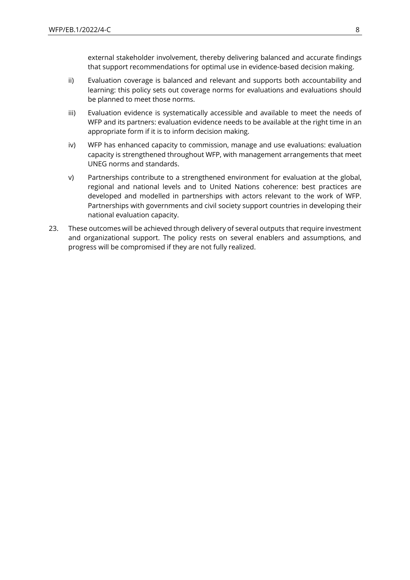external stakeholder involvement, thereby delivering balanced and accurate findings that support recommendations for optimal use in evidence-based decision making.

- ii) Evaluation coverage is balanced and relevant and supports both accountability and learning: this policy sets out coverage norms for evaluations and evaluations should be planned to meet those norms.
- iii) Evaluation evidence is systematically accessible and available to meet the needs of WFP and its partners: evaluation evidence needs to be available at the right time in an appropriate form if it is to inform decision making.
- iv) WFP has enhanced capacity to commission, manage and use evaluations: evaluation capacity is strengthened throughout WFP, with management arrangements that meet UNEG norms and standards.
- v) Partnerships contribute to a strengthened environment for evaluation at the global, regional and national levels and to United Nations coherence: best practices are developed and modelled in partnerships with actors relevant to the work of WFP. Partnerships with governments and civil society support countries in developing their national evaluation capacity.
- 23. These outcomes will be achieved through delivery of several outputs that require investment and organizational support. The policy rests on several enablers and assumptions, and progress will be compromised if they are not fully realized.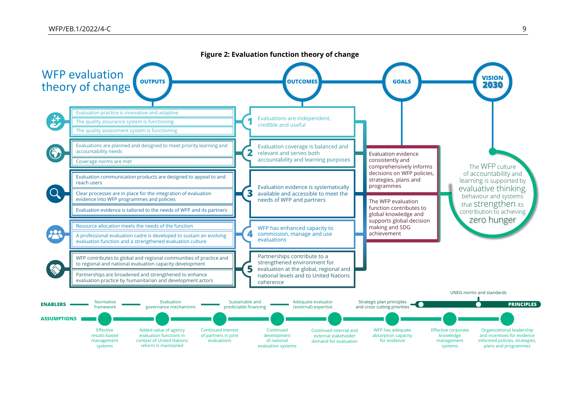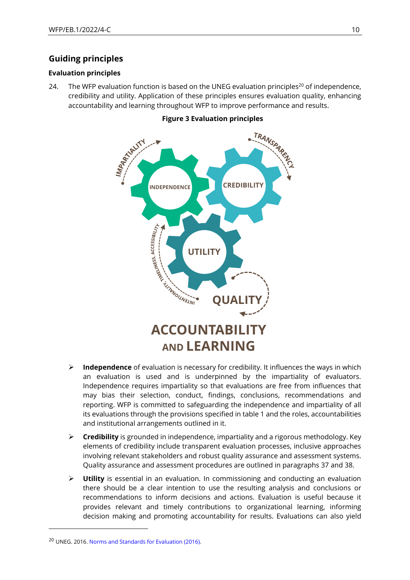## **Guiding principles**

### **Evaluation principles**

24. The WFP evaluation function is based on the UNEG evaluation principles<sup>20</sup> of independence, credibility and utility. Application of these principles ensures evaluation quality, enhancing accountability and learning throughout WFP to improve performance and results.



#### **Figure 3 Evaluation principles**

- ➢ **Independence** of evaluation is necessary for credibility. It influences the ways in which an evaluation is used and is underpinned by the impartiality of evaluators. Independence requires impartiality so that evaluations are free from influences that may bias their selection, conduct, findings, conclusions, recommendations and reporting. WFP is committed to safeguarding the independence and impartiality of all its evaluations through the provisions specified in table 1 and the roles, accountabilities and institutional arrangements outlined in it.
- ➢ **Credibility** is grounded in independence, impartiality and a rigorous methodology. Key elements of credibility include transparent evaluation processes, inclusive approaches involving relevant stakeholders and robust quality assurance and assessment systems. Quality assurance and assessment procedures are outlined in paragraphs 37 and 38.
- ➢ **Utility** is essential in an evaluation. In commissioning and conducting an evaluation there should be a clear intention to use the resulting analysis and conclusions or recommendations to inform decisions and actions. Evaluation is useful because it provides relevant and timely contributions to organizational learning, informing decision making and promoting accountability for results. Evaluations can also yield

<sup>20</sup> UNEG. 2016. [Norms and Standards for Evaluation \(2016\).](http://www.uneval.org/document/detail/1914)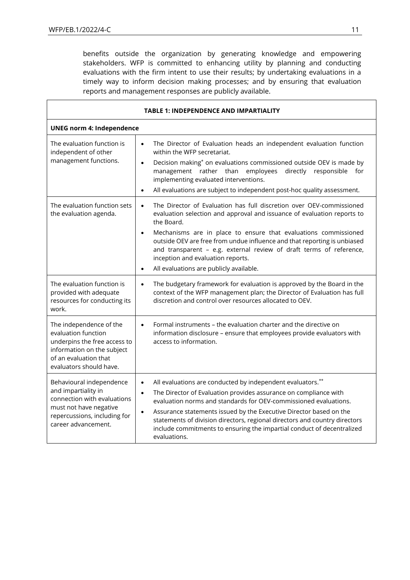benefits outside the organization by generating knowledge and empowering stakeholders. WFP is committed to enhancing utility by planning and conducting evaluations with the firm intent to use their results; by undertaking evaluations in a timely way to inform decision making processes; and by ensuring that evaluation reports and management responses are publicly available.

| TABLE 1: INDEPENDENCE AND IMPARTIALITY                                                                                                                           |                                                                                                                                                                                                                                                                                                                                                                                                                                                                                                            |  |
|------------------------------------------------------------------------------------------------------------------------------------------------------------------|------------------------------------------------------------------------------------------------------------------------------------------------------------------------------------------------------------------------------------------------------------------------------------------------------------------------------------------------------------------------------------------------------------------------------------------------------------------------------------------------------------|--|
| <b>UNEG norm 4: Independence</b>                                                                                                                                 |                                                                                                                                                                                                                                                                                                                                                                                                                                                                                                            |  |
| The evaluation function is<br>independent of other<br>management functions.                                                                                      | The Director of Evaluation heads an independent evaluation function<br>$\bullet$<br>within the WFP secretariat.<br>Decision making* on evaluations commissioned outside OEV is made by<br>$\bullet$<br>management rather than employees<br>directly responsible<br>for<br>implementing evaluated interventions.<br>All evaluations are subject to independent post-hoc quality assessment.<br>$\bullet$                                                                                                    |  |
| The evaluation function sets<br>the evaluation agenda.                                                                                                           | The Director of Evaluation has full discretion over OEV-commissioned<br>$\bullet$<br>evaluation selection and approval and issuance of evaluation reports to<br>the Board.<br>Mechanisms are in place to ensure that evaluations commissioned<br>$\bullet$<br>outside OEV are free from undue influence and that reporting is unbiased<br>and transparent - e.g. external review of draft terms of reference,<br>inception and evaluation reports.<br>All evaluations are publicly available.<br>$\bullet$ |  |
| The evaluation function is<br>provided with adequate<br>resources for conducting its<br>work.                                                                    | The budgetary framework for evaluation is approved by the Board in the<br>$\bullet$<br>context of the WFP management plan; the Director of Evaluation has full<br>discretion and control over resources allocated to OEV.                                                                                                                                                                                                                                                                                  |  |
| The independence of the<br>evaluation function<br>underpins the free access to<br>information on the subject<br>of an evaluation that<br>evaluators should have. | Formal instruments - the evaluation charter and the directive on<br>$\bullet$<br>information disclosure - ensure that employees provide evaluators with<br>access to information.                                                                                                                                                                                                                                                                                                                          |  |
| Behavioural independence<br>and impartiality in<br>connection with evaluations<br>must not have negative<br>repercussions, including for<br>career advancement.  | All evaluations are conducted by independent evaluators.**<br>$\bullet$<br>The Director of Evaluation provides assurance on compliance with<br>$\bullet$<br>evaluation norms and standards for OEV-commissioned evaluations.<br>Assurance statements issued by the Executive Director based on the<br>$\bullet$<br>statements of division directors, regional directors and country directors<br>include commitments to ensuring the impartial conduct of decentralized<br>evaluations.                    |  |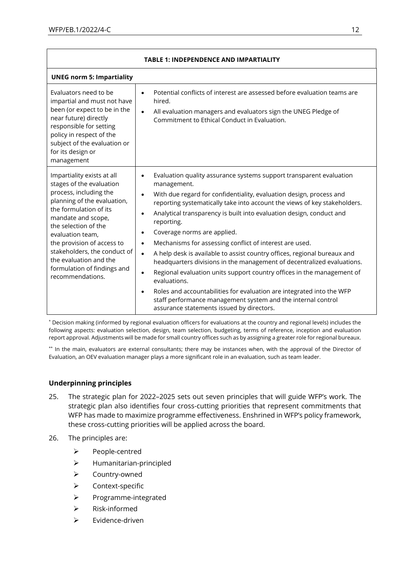| <b>TABLE 1: INDEPENDENCE AND IMPARTIALITY</b>                                                                                                                                                                                                                                                                                                          |                                                                                                                                                                                                                                                                                                                                                                                                                                                                                                                                                                                                                                                                                                                                                                                                                                                                                                                               |  |
|--------------------------------------------------------------------------------------------------------------------------------------------------------------------------------------------------------------------------------------------------------------------------------------------------------------------------------------------------------|-------------------------------------------------------------------------------------------------------------------------------------------------------------------------------------------------------------------------------------------------------------------------------------------------------------------------------------------------------------------------------------------------------------------------------------------------------------------------------------------------------------------------------------------------------------------------------------------------------------------------------------------------------------------------------------------------------------------------------------------------------------------------------------------------------------------------------------------------------------------------------------------------------------------------------|--|
| <b>UNEG norm 5: Impartiality</b>                                                                                                                                                                                                                                                                                                                       |                                                                                                                                                                                                                                                                                                                                                                                                                                                                                                                                                                                                                                                                                                                                                                                                                                                                                                                               |  |
| Evaluators need to be<br>impartial and must not have<br>been (or expect to be in the<br>near future) directly<br>responsible for setting<br>policy in respect of the<br>subject of the evaluation or<br>for its design or<br>management                                                                                                                | Potential conflicts of interest are assessed before evaluation teams are<br>$\bullet$<br>hired.<br>All evaluation managers and evaluators sign the UNEG Pledge of<br>Commitment to Ethical Conduct in Evaluation.                                                                                                                                                                                                                                                                                                                                                                                                                                                                                                                                                                                                                                                                                                             |  |
| Impartiality exists at all<br>stages of the evaluation<br>process, including the<br>planning of the evaluation,<br>the formulation of its<br>mandate and scope,<br>the selection of the<br>evaluation team,<br>the provision of access to<br>stakeholders, the conduct of<br>the evaluation and the<br>formulation of findings and<br>recommendations. | Evaluation quality assurance systems support transparent evaluation<br>management.<br>With due regard for confidentiality, evaluation design, process and<br>$\bullet$<br>reporting systematically take into account the views of key stakeholders.<br>Analytical transparency is built into evaluation design, conduct and<br>reporting.<br>Coverage norms are applied.<br>$\bullet$<br>Mechanisms for assessing conflict of interest are used.<br>$\bullet$<br>A help desk is available to assist country offices, regional bureaux and<br>$\bullet$<br>headquarters divisions in the management of decentralized evaluations.<br>Regional evaluation units support country offices in the management of<br>evaluations.<br>Roles and accountabilities for evaluation are integrated into the WFP<br>$\bullet$<br>staff performance management system and the internal control<br>assurance statements issued by directors. |  |

\* Decision making (informed by regional evaluation officers for evaluations at the country and regional levels) includes the following aspects: evaluation selection, design, team selection, budgeting, terms of reference, inception and evaluation report approval. Adjustments will be made for small country offices such as by assigning a greater role for regional bureaux.

\*\* In the main, evaluators are external consultants; there may be instances when, with the approval of the Director of Evaluation, an OEV evaluation manager plays a more significant role in an evaluation, such as team leader.

### **Underpinning principles**

- 25. The strategic plan for 2022–2025 sets out seven principles that will guide WFP's work. The strategic plan also identifies four cross-cutting priorities that represent commitments that WFP has made to maximize programme effectiveness. Enshrined in WFP's policy framework, these cross-cutting priorities will be applied across the board.
- 26. The principles are:
	- ➢ People-centred
	- ➢ Humanitarian-principled
	- ➢ Country-owned
	- ➢ Context-specific
	- ➢ Programme-integrated
	- ➢ Risk-informed
	- ➢ Evidence-driven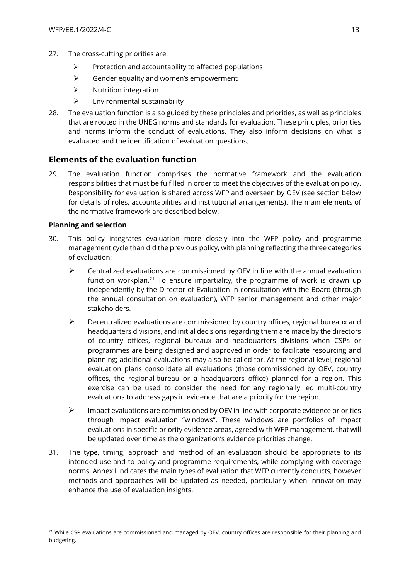- 27. The cross-cutting priorities are:
	- $\triangleright$  Protection and accountability to affected populations
	- ➢ Gender equality and women's empowerment
	- ➢ Nutrition integration
	- $\triangleright$  Environmental sustainability
- 28. The evaluation function is also guided by these principles and priorities, as well as principles that are rooted in the UNEG norms and standards for evaluation. These principles, priorities and norms inform the conduct of evaluations. They also inform decisions on what is evaluated and the identification of evaluation questions.

## **Elements of the evaluation function**

29. The evaluation function comprises the normative framework and the evaluation responsibilities that must be fulfilled in order to meet the objectives of the evaluation policy. Responsibility for evaluation is shared across WFP and overseen by OEV (see section below for details of roles, accountabilities and institutional arrangements). The main elements of the normative framework are described below.

#### **Planning and selection**

- 30. This policy integrates evaluation more closely into the WFP policy and programme management cycle than did the previous policy, with planning reflecting the three categories of evaluation:
	- $\triangleright$  Centralized evaluations are commissioned by OEV in line with the annual evaluation function workplan.<sup>21</sup> To ensure impartiality, the programme of work is drawn up independently by the Director of Evaluation in consultation with the Board (through the annual consultation on evaluation), WFP senior management and other major stakeholders.
	- ➢ Decentralized evaluations are commissioned by country offices, regional bureaux and headquarters divisions, and initial decisions regarding them are made by the directors of country offices, regional bureaux and headquarters divisions when CSPs or programmes are being designed and approved in order to facilitate resourcing and planning; additional evaluations may also be called for. At the regional level, regional evaluation plans consolidate all evaluations (those commissioned by OEV, country offices, the regional bureau or a headquarters office) planned for a region. This exercise can be used to consider the need for any regionally led multi-country evaluations to address gaps in evidence that are a priority for the region.
	- $\triangleright$  Impact evaluations are commissioned by OEV in line with corporate evidence priorities through impact evaluation "windows". These windows are portfolios of impact evaluations in specific priority evidence areas, agreed with WFP management, that will be updated over time as the organization's evidence priorities change.
- 31. The type, timing, approach and method of an evaluation should be appropriate to its intended use and to policy and programme requirements, while complying with coverage norms. Annex I indicates the main types of evaluation that WFP currently conducts, however methods and approaches will be updated as needed, particularly when innovation may enhance the use of evaluation insights.

<sup>&</sup>lt;sup>21</sup> While CSP evaluations are commissioned and managed by OEV, country offices are responsible for their planning and budgeting.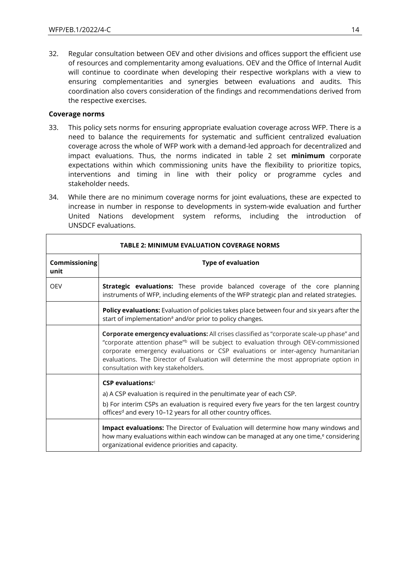32. Regular consultation between OEV and other divisions and offices support the efficient use of resources and complementarity among evaluations. OEV and the Office of Internal Audit will continue to coordinate when developing their respective workplans with a view to ensuring complementarities and synergies between evaluations and audits. This coordination also covers consideration of the findings and recommendations derived from the respective exercises.

#### **Coverage norms**

- 33. This policy sets norms for ensuring appropriate evaluation coverage across WFP. There is a need to balance the requirements for systematic and sufficient centralized evaluation coverage across the whole of WFP work with a demand-led approach for decentralized and impact evaluations. Thus, the norms indicated in table 2 set **minimum** corporate expectations within which commissioning units have the flexibility to prioritize topics, interventions and timing in line with their policy or programme cycles and stakeholder needs.
- 34. While there are no minimum coverage norms for joint evaluations, these are expected to increase in number in response to developments in system-wide evaluation and further United Nations development system reforms, including the introduction of UNSDCF evaluations.

| <b>TABLE 2: MINIMUM EVALUATION COVERAGE NORMS</b> |                                                                                                                                                                                                                                                                                                                                                                                                                |
|---------------------------------------------------|----------------------------------------------------------------------------------------------------------------------------------------------------------------------------------------------------------------------------------------------------------------------------------------------------------------------------------------------------------------------------------------------------------------|
| <b>Commissioning</b><br>unit                      | <b>Type of evaluation</b>                                                                                                                                                                                                                                                                                                                                                                                      |
| <b>OEV</b>                                        | Strategic evaluations: These provide balanced coverage of the core planning<br>instruments of WFP, including elements of the WFP strategic plan and related strategies.                                                                                                                                                                                                                                        |
|                                                   | <b>Policy evaluations:</b> Evaluation of policies takes place between four and six years after the<br>start of implementation <sup>a</sup> and/or prior to policy changes.                                                                                                                                                                                                                                     |
|                                                   | Corporate emergency evaluations: All crises classified as "corporate scale-up phase" and<br>"corporate attention phase" <sup>b</sup> will be subject to evaluation through OEV-commissioned<br>corporate emergency evaluations or CSP evaluations or inter-agency humanitarian<br>evaluations. The Director of Evaluation will determine the most appropriate option in<br>consultation with key stakeholders. |
|                                                   | $CSP$ evaluations: $C$<br>a) A CSP evaluation is required in the penultimate year of each CSP.<br>b) For interim CSPs an evaluation is required every five years for the ten largest country<br>offices <sup>d</sup> and every 10-12 years for all other country offices.                                                                                                                                      |
|                                                   | Impact evaluations: The Director of Evaluation will determine how many windows and<br>how many evaluations within each window can be managed at any one time, <sup>e</sup> considering<br>organizational evidence priorities and capacity.                                                                                                                                                                     |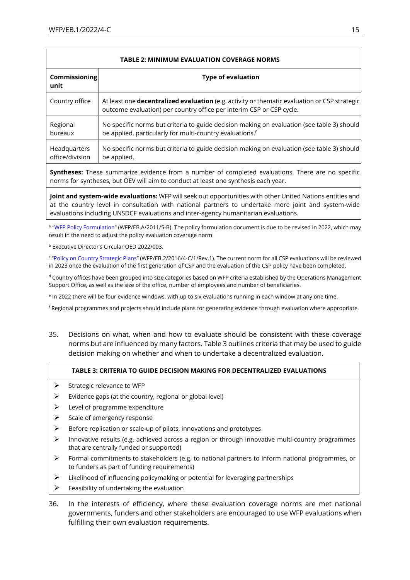| <b>TABLE 2: MINIMUM EVALUATION COVERAGE NORMS</b> |                                                                                                                                                                              |
|---------------------------------------------------|------------------------------------------------------------------------------------------------------------------------------------------------------------------------------|
| <b>Commissioning</b><br>unit                      | <b>Type of evaluation</b>                                                                                                                                                    |
| Country office                                    | At least one <b>decentralized evaluation</b> (e.g. activity or thematic evaluation or CSP strategic)<br>outcome evaluation) per country office per interim CSP or CSP cycle. |
| Regional<br>bureaux                               | No specific norms but criteria to guide decision making on evaluation (see table 3) should<br>be applied, particularly for multi-country evaluations. <sup>f</sup>           |
| Headquarters<br>office/division                   | No specific norms but criteria to guide decision making on evaluation (see table 3) should<br>be applied.                                                                    |

**Syntheses:** These summarize evidence from a number of completed evaluations. There are no specific norms for syntheses, but OEV will aim to conduct at least one synthesis each year.

**Joint and system-wide evaluations:** WFP will seek out opportunities with other United Nations entities and at the country level in consultation with national partners to undertake more joint and system-wide evaluations including UNSDCF evaluations and inter-agency humanitarian evaluations.

<sup>a</sup> "[WFP Policy Formulation](https://executiveboard.wfp.org/document_download/WFP-0000025374)" (WFP/EB.A/2011/5-B). The policy formulation document is due to be revised in 2022, which may result in the need to adjust the policy evaluation coverage norm.

<sup>b</sup> Executive Director's Circular OED 2022/003.

c "[Policy on Country Strategic Plans](https://executiveboard.wfp.org/document_download/WFP-0000037168)" (WFP/EB.2/2016/4-C/1/Rev.1). The current norm for all CSP evaluations will be reviewed in 2023 once the evaluation of the first generation of CSP and the evaluation of the CSP policy have been completed.

<sup>d</sup> Country offices have been grouped into size categories based on WFP criteria established by the Operations Management Support Office, as well as the size of the office, number of employees and number of beneficiaries.

e In 2022 there will be four evidence windows, with up to six evaluations running in each window at any one time.

<sup>f</sup> Regional programmes and projects should include plans for generating evidence through evaluation where appropriate.

35. Decisions on what, when and how to evaluate should be consistent with these coverage norms but are influenced by many factors. Table 3 outlines criteria that may be used to guide decision making on whether and when to undertake a decentralized evaluation.

#### **TABLE 3: CRITERIA TO GUIDE DECISION MAKING FOR DECENTRALIZED EVALUATIONS**

- $\triangleright$  Strategic relevance to WFP
- $\triangleright$  Evidence gaps (at the country, regional or global level)
- $\triangleright$  Level of programme expenditure
- ➢ Scale of emergency response
- $\triangleright$  Before replication or scale-up of pilots, innovations and prototypes
- ➢ Innovative results (e.g. achieved across a region or through innovative multi-country programmes that are centrally funded or supported)
- $\triangleright$  Formal commitments to stakeholders (e.g. to national partners to inform national programmes, or to funders as part of funding requirements)
- ➢ Likelihood of influencing policymaking or potential for leveraging partnerships
- $\triangleright$  Feasibility of undertaking the evaluation
- 36. In the interests of efficiency, where these evaluation coverage norms are met national governments, funders and other stakeholders are encouraged to use WFP evaluations when fulfilling their own evaluation requirements.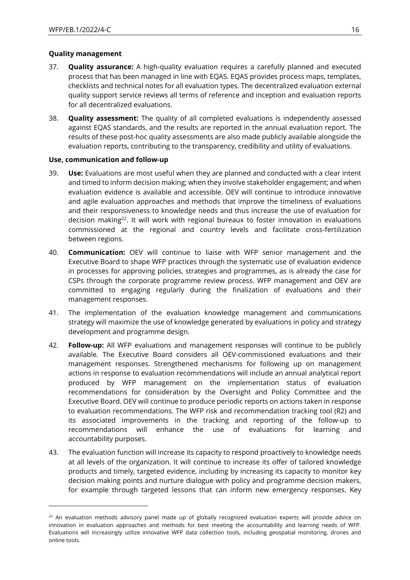#### **Quality management**

- 37. **Quality assurance:** A high-quality evaluation requires a carefully planned and executed process that has been managed in line with EQAS. EQAS provides process maps, templates, checklists and technical notes for all evaluation types. The decentralized evaluation external quality support service reviews all terms of reference and inception and evaluation reports for all decentralized evaluations.
- 38. **Quality assessment:** The quality of all completed evaluations is independently assessed against EQAS standards, and the results are reported in the annual evaluation report. The results of these post-hoc quality assessments are also made publicly available alongside the evaluation reports, contributing to the transparency, credibility and utility of evaluations.

### **Use, communication and follow-up**

- 39. **Use:** Evaluations are most useful when they are planned and conducted with a clear intent and timed to inform decision making; when they involve stakeholder engagement; and when evaluation evidence is available and accessible. OEV will continue to introduce innovative and agile evaluation approaches and methods that improve the timeliness of evaluations and their responsiveness to knowledge needs and thus increase the use of evaluation for decision making<sup>22</sup>. It will work with regional bureaux to foster innovation in evaluations commissioned at the regional and country levels and facilitate cross-fertilization between regions.
- 40. **Communication:** OEV will continue to liaise with WFP senior management and the Executive Board to shape WFP practices through the systematic use of evaluation evidence in processes for approving policies, strategies and programmes, as is already the case for CSPs through the corporate programme review process. WFP management and OEV are committed to engaging regularly during the finalization of evaluations and their management responses.
- 41. The implementation of the evaluation knowledge management and communications strategy will maximize the use of knowledge generated by evaluations in policy and strategy development and programme design.
- 42. **Follow-up:** All WFP evaluations and management responses will continue to be publicly available. The Executive Board considers all OEV-commissioned evaluations and their management responses. Strengthened mechanisms for following up on management actions in response to evaluation recommendations will include an annual analytical report produced by WFP management on the implementation status of evaluation recommendations for consideration by the Oversight and Policy Committee and the Executive Board. OEV will continue to produce periodic reports on actions taken in response to evaluation recommendations. The WFP risk and recommendation tracking tool (R2) and its associated improvements in the tracking and reporting of the follow-up to recommendations will enhance the use of evaluations for learning and accountability purposes.
- 43. The evaluation function will increase its capacity to respond proactively to knowledge needs at all levels of the organization. It will continue to increase its offer of tailored knowledge products and timely, targeted evidence, including by increasing its capacity to monitor key decision making points and nurture dialogue with policy and programme decision makers, for example through targeted lessons that can inform new emergency responses. Key

<sup>&</sup>lt;sup>22</sup> An evaluation methods advisory panel made up of globally recognized evaluation experts will provide advice on innovation in evaluation approaches and methods for best meeting the accountability and learning needs of WFP. Evaluations will increasingly utilize innovative WFP data collection tools, including geospatial monitoring, drones and online tools.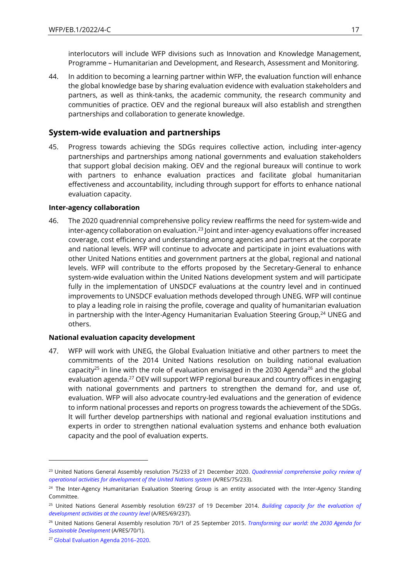interlocutors will include WFP divisions such as Innovation and Knowledge Management, Programme – Humanitarian and Development, and Research, Assessment and Monitoring.

44. In addition to becoming a learning partner within WFP, the evaluation function will enhance the global knowledge base by sharing evaluation evidence with evaluation stakeholders and partners, as well as think-tanks, the academic community, the research community and communities of practice. OEV and the regional bureaux will also establish and strengthen partnerships and collaboration to generate knowledge.

## **System-wide evaluation and partnerships**

45. Progress towards achieving the SDGs requires collective action, including inter-agency partnerships and partnerships among national governments and evaluation stakeholders that support global decision making. OEV and the regional bureaux will continue to work with partners to enhance evaluation practices and facilitate global humanitarian effectiveness and accountability, including through support for efforts to enhance national evaluation capacity.

#### **Inter-agency collaboration**

46. The 2020 quadrennial comprehensive policy review reaffirms the need for system-wide and inter-agency collaboration on evaluation.<sup>23</sup> Joint and inter-agency evaluations offer increased coverage, cost efficiency and understanding among agencies and partners at the corporate and national levels. WFP will continue to advocate and participate in joint evaluations with other United Nations entities and government partners at the global, regional and national levels. WFP will contribute to the efforts proposed by the Secretary-General to enhance system-wide evaluation within the United Nations development system and will participate fully in the implementation of UNSDCF evaluations at the country level and in continued improvements to UNSDCF evaluation methods developed through UNEG. WFP will continue to play a leading role in raising the profile, coverage and quality of humanitarian evaluation in partnership with the Inter-Agency Humanitarian Evaluation Steering Group, $24$  UNEG and others.

### **National evaluation capacity development**

47. WFP will work with UNEG, the Global Evaluation Initiative and other partners to meet the commitments of the 2014 United Nations resolution on building national evaluation capacity<sup>25</sup> in line with the role of evaluation envisaged in the 2030 Agenda<sup>26</sup> and the global evaluation agenda.<sup>27</sup> OEV will support WFP regional bureaux and country offices in engaging with national governments and partners to strengthen the demand for, and use of, evaluation. WFP will also advocate country-led evaluations and the generation of evidence to inform national processes and reports on progress towards the achievement of the SDGs. It will further develop partnerships with national and regional evaluation institutions and experts in order to strengthen national evaluation systems and enhance both evaluation capacity and the pool of evaluation experts.

<sup>23</sup> United Nations General Assembly resolution 75/233 of 21 December 2020. *[Quadrennial comprehensive policy review of](https://undocs.org/en/A/RES/75/233)  [operational activities for development of the United Nations system](https://undocs.org/en/A/RES/75/233)* (A/RES/75/233).

<sup>&</sup>lt;sup>24</sup> The Inter-Agency Humanitarian Evaluation Steering Group is an entity associated with the Inter-Agency Standing Committee.

<sup>25</sup> United Nations General Assembly resolution 69/237 of 19 December 2014. *[Building capacity for the evaluation of](https://undocs.org/A/RES/69/237)  [development activities at the country level](https://undocs.org/A/RES/69/237)* (A/RES/69/237).

<sup>26</sup> United Nations General Assembly resolution 70/1 of 25 September 2015. *[Transforming our world: the 2030 Agenda for](https://www.un.org/en/development/desa/population/migration/generalassembly/docs/globalcompact/A_RES_70_1_E.pdf)  [Sustainable Development](https://www.un.org/en/development/desa/population/migration/generalassembly/docs/globalcompact/A_RES_70_1_E.pdf)* (A/RES/70/1).

<sup>27</sup> [Global Evaluation Agenda 2016](https://www.evalpartners.org/global-evaluation-agenda)–2020.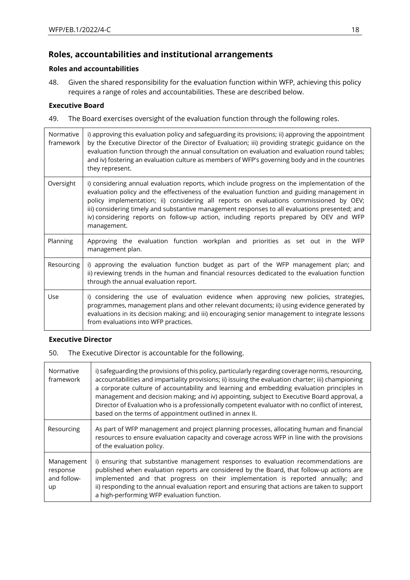## **Roles, accountabilities and institutional arrangements**

## **Roles and accountabilities**

48. Given the shared responsibility for the evaluation function within WFP, achieving this policy requires a range of roles and accountabilities. These are described below.

### **Executive Board**

49. The Board exercises oversight of the evaluation function through the following roles.

| Normative<br>framework | i) approving this evaluation policy and safeguarding its provisions; ii) approving the appointment<br>by the Executive Director of the Director of Evaluation; iii) providing strategic guidance on the<br>evaluation function through the annual consultation on evaluation and evaluation round tables;<br>and iv) fostering an evaluation culture as members of WFP's governing body and in the countries<br>they represent.                                                                    |
|------------------------|----------------------------------------------------------------------------------------------------------------------------------------------------------------------------------------------------------------------------------------------------------------------------------------------------------------------------------------------------------------------------------------------------------------------------------------------------------------------------------------------------|
| Oversight              | i) considering annual evaluation reports, which include progress on the implementation of the<br>evaluation policy and the effectiveness of the evaluation function and guiding management in<br>policy implementation; ii) considering all reports on evaluations commissioned by OEV;<br>iii) considering timely and substantive management responses to all evaluations presented; and<br>iv) considering reports on follow-up action, including reports prepared by OEV and WFP<br>management. |
| Planning               | Approving the evaluation function workplan and priorities as set out in the WFP<br>management plan.                                                                                                                                                                                                                                                                                                                                                                                                |
| Resourcing             | i) approving the evaluation function budget as part of the WFP management plan; and<br>ii) reviewing trends in the human and financial resources dedicated to the evaluation function<br>through the annual evaluation report.                                                                                                                                                                                                                                                                     |
| Use                    | i) considering the use of evaluation evidence when approving new policies, strategies,<br>programmes, management plans and other relevant documents; ii) using evidence generated by<br>evaluations in its decision making; and iii) encouraging senior management to integrate lessons<br>from evaluations into WFP practices.                                                                                                                                                                    |

### **Executive Director**

50. The Executive Director is accountable for the following.

| Normative<br>framework                      | i) safeguarding the provisions of this policy, particularly regarding coverage norms, resourcing,<br>accountabilities and impartiality provisions; ii) issuing the evaluation charter; iii) championing<br>a corporate culture of accountability and learning and embedding evaluation principles in<br>management and decision making; and iv) appointing, subject to Executive Board approval, a<br>Director of Evaluation who is a professionally competent evaluator with no conflict of interest,<br>based on the terms of appointment outlined in annex II. |
|---------------------------------------------|-------------------------------------------------------------------------------------------------------------------------------------------------------------------------------------------------------------------------------------------------------------------------------------------------------------------------------------------------------------------------------------------------------------------------------------------------------------------------------------------------------------------------------------------------------------------|
| Resourcing                                  | As part of WFP management and project planning processes, allocating human and financial<br>resources to ensure evaluation capacity and coverage across WFP in line with the provisions<br>of the evaluation policy.                                                                                                                                                                                                                                                                                                                                              |
| Management<br>response<br>and follow-<br>up | i) ensuring that substantive management responses to evaluation recommendations are<br>published when evaluation reports are considered by the Board, that follow-up actions are<br>implemented and that progress on their implementation is reported annually; and<br>ii) responding to the annual evaluation report and ensuring that actions are taken to support<br>a high-performing WFP evaluation function.                                                                                                                                                |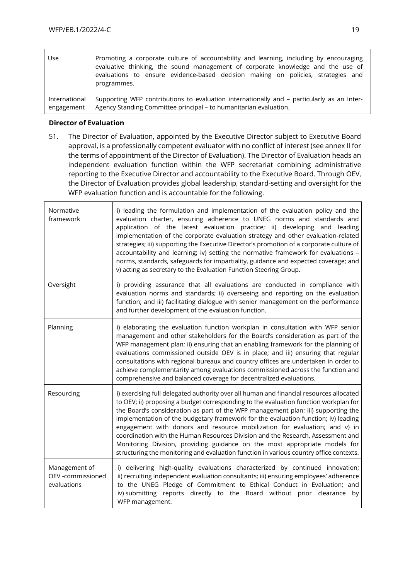| Use           | Promoting a corporate culture of accountability and learning, including by encouraging<br>evaluative thinking, the sound management of corporate knowledge and the use of<br>evaluations to ensure evidence-based decision making on policies, strategies and<br>programmes. |
|---------------|------------------------------------------------------------------------------------------------------------------------------------------------------------------------------------------------------------------------------------------------------------------------------|
| International | Supporting WFP contributions to evaluation internationally and - particularly as an Inter-                                                                                                                                                                                   |
| engagement    | Agency Standing Committee principal - to humanitarian evaluation.                                                                                                                                                                                                            |

## **Director of Evaluation**

51. The Director of Evaluation, appointed by the Executive Director subject to Executive Board approval, is a professionally competent evaluator with no conflict of interest (see annex II for the terms of appointment of the Director of Evaluation). The Director of Evaluation heads an independent evaluation function within the WFP secretariat combining administrative reporting to the Executive Director and accountability to the Executive Board. Through OEV, the Director of Evaluation provides global leadership, standard-setting and oversight for the WFP evaluation function and is accountable for the following.

| Normative<br>framework                            | i) leading the formulation and implementation of the evaluation policy and the<br>evaluation charter, ensuring adherence to UNEG norms and standards and<br>application of the latest evaluation practice; ii) developing and leading<br>implementation of the corporate evaluation strategy and other evaluation-related<br>strategies; iii) supporting the Executive Director's promotion of a corporate culture of<br>accountability and learning; iv) setting the normative framework for evaluations -<br>norms, standards, safeguards for impartiality, guidance and expected coverage; and<br>v) acting as secretary to the Evaluation Function Steering Group.                              |
|---------------------------------------------------|-----------------------------------------------------------------------------------------------------------------------------------------------------------------------------------------------------------------------------------------------------------------------------------------------------------------------------------------------------------------------------------------------------------------------------------------------------------------------------------------------------------------------------------------------------------------------------------------------------------------------------------------------------------------------------------------------------|
| Oversight                                         | i) providing assurance that all evaluations are conducted in compliance with<br>evaluation norms and standards; ii) overseeing and reporting on the evaluation<br>function; and iii) facilitating dialogue with senior management on the performance<br>and further development of the evaluation function.                                                                                                                                                                                                                                                                                                                                                                                         |
| Planning                                          | i) elaborating the evaluation function workplan in consultation with WFP senior<br>management and other stakeholders for the Board's consideration as part of the<br>WFP management plan; ii) ensuring that an enabling framework for the planning of<br>evaluations commissioned outside OEV is in place; and iii) ensuring that regular<br>consultations with regional bureaux and country offices are undertaken in order to<br>achieve complementarity among evaluations commissioned across the function and<br>comprehensive and balanced coverage for decentralized evaluations.                                                                                                             |
| Resourcing                                        | i) exercising full delegated authority over all human and financial resources allocated<br>to OEV; ii) proposing a budget corresponding to the evaluation function workplan for<br>the Board's consideration as part of the WFP management plan; iii) supporting the<br>implementation of the budgetary framework for the evaluation function; iv) leading<br>engagement with donors and resource mobilization for evaluation; and v) in<br>coordination with the Human Resources Division and the Research, Assessment and<br>Monitoring Division, providing guidance on the most appropriate models for<br>structuring the monitoring and evaluation function in various country office contexts. |
| Management of<br>OEV -commissioned<br>evaluations | i) delivering high-quality evaluations characterized by continued innovation;<br>ii) recruiting independent evaluation consultants; iii) ensuring employees' adherence<br>to the UNEG Pledge of Commitment to Ethical Conduct in Evaluation; and<br>iv) submitting reports directly to the Board without prior clearance<br>by<br>WFP management.                                                                                                                                                                                                                                                                                                                                                   |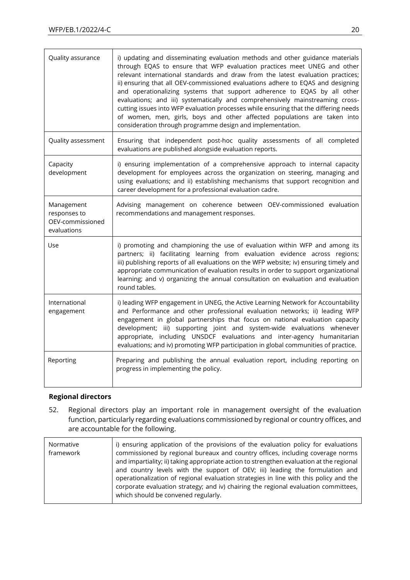| Quality assurance                                             | i) updating and disseminating evaluation methods and other guidance materials<br>through EQAS to ensure that WFP evaluation practices meet UNEG and other<br>relevant international standards and draw from the latest evaluation practices;<br>ii) ensuring that all OEV-commissioned evaluations adhere to EQAS and designing<br>and operationalizing systems that support adherence to EQAS by all other<br>evaluations; and iii) systematically and comprehensively mainstreaming cross-<br>cutting issues into WFP evaluation processes while ensuring that the differing needs<br>of women, men, girls, boys and other affected populations are taken into<br>consideration through programme design and implementation. |
|---------------------------------------------------------------|--------------------------------------------------------------------------------------------------------------------------------------------------------------------------------------------------------------------------------------------------------------------------------------------------------------------------------------------------------------------------------------------------------------------------------------------------------------------------------------------------------------------------------------------------------------------------------------------------------------------------------------------------------------------------------------------------------------------------------|
| Quality assessment                                            | Ensuring that independent post-hoc quality assessments of all completed<br>evaluations are published alongside evaluation reports.                                                                                                                                                                                                                                                                                                                                                                                                                                                                                                                                                                                             |
| Capacity<br>development                                       | i) ensuring implementation of a comprehensive approach to internal capacity<br>development for employees across the organization on steering, managing and<br>using evaluations; and ii) establishing mechanisms that support recognition and<br>career development for a professional evaluation cadre.                                                                                                                                                                                                                                                                                                                                                                                                                       |
| Management<br>responses to<br>OEV-commissioned<br>evaluations | Advising management on coherence between OEV-commissioned evaluation<br>recommendations and management responses.                                                                                                                                                                                                                                                                                                                                                                                                                                                                                                                                                                                                              |
| Use                                                           | i) promoting and championing the use of evaluation within WFP and among its<br>partners; ii) facilitating learning from evaluation evidence across regions;<br>iii) publishing reports of all evaluations on the WFP website; iv) ensuring timely and<br>appropriate communication of evaluation results in order to support organizational<br>learning; and v) organizing the annual consultation on evaluation and evaluation<br>round tables.                                                                                                                                                                                                                                                                               |
| International<br>engagement                                   | i) leading WFP engagement in UNEG, the Active Learning Network for Accountability<br>and Performance and other professional evaluation networks; ii) leading WFP<br>engagement in global partnerships that focus on national evaluation capacity<br>development; iii) supporting joint and system-wide evaluations whenever<br>appropriate, including UNSDCF evaluations and inter-agency humanitarian<br>evaluations; and iv) promoting WFP participation in global communities of practice.                                                                                                                                                                                                                                  |
| Reporting                                                     | Preparing and publishing the annual evaluation report, including reporting on<br>progress in implementing the policy.                                                                                                                                                                                                                                                                                                                                                                                                                                                                                                                                                                                                          |

### **Regional directors**

52. Regional directors play an important role in management oversight of the evaluation function, particularly regarding evaluations commissioned by regional or country offices, and are accountable for the following.

| Normative<br>framework | i) ensuring application of the provisions of the evaluation policy for evaluations<br>commissioned by regional bureaux and country offices, including coverage norms<br>and impartiality; ii) taking appropriate action to strengthen evaluation at the regional<br>and country levels with the support of OEV; iii) leading the formulation and<br>operationalization of regional evaluation strategies in line with this policy and the<br>corporate evaluation strategy; and iv) chairing the regional evaluation committees, |
|------------------------|----------------------------------------------------------------------------------------------------------------------------------------------------------------------------------------------------------------------------------------------------------------------------------------------------------------------------------------------------------------------------------------------------------------------------------------------------------------------------------------------------------------------------------|
|                        | which should be convened regularly.                                                                                                                                                                                                                                                                                                                                                                                                                                                                                              |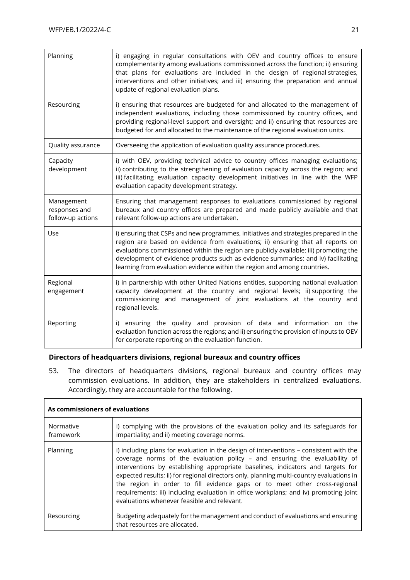| Planning                                         | i) engaging in regular consultations with OEV and country offices to ensure<br>complementarity among evaluations commissioned across the function; ii) ensuring<br>that plans for evaluations are included in the design of regional strategies,<br>interventions and other initiatives; and iii) ensuring the preparation and annual<br>update of regional evaluation plans.                                                     |
|--------------------------------------------------|-----------------------------------------------------------------------------------------------------------------------------------------------------------------------------------------------------------------------------------------------------------------------------------------------------------------------------------------------------------------------------------------------------------------------------------|
| Resourcing                                       | i) ensuring that resources are budgeted for and allocated to the management of<br>independent evaluations, including those commissioned by country offices, and<br>providing regional-level support and oversight; and ii) ensuring that resources are<br>budgeted for and allocated to the maintenance of the regional evaluation units.                                                                                         |
| Quality assurance                                | Overseeing the application of evaluation quality assurance procedures.                                                                                                                                                                                                                                                                                                                                                            |
| Capacity<br>development                          | i) with OEV, providing technical advice to country offices managing evaluations;<br>ii) contributing to the strengthening of evaluation capacity across the region; and<br>iii) facilitating evaluation capacity development initiatives in line with the WFP<br>evaluation capacity development strategy.                                                                                                                        |
| Management<br>responses and<br>follow-up actions | Ensuring that management responses to evaluations commissioned by regional<br>bureaux and country offices are prepared and made publicly available and that<br>relevant follow-up actions are undertaken.                                                                                                                                                                                                                         |
| Use                                              | i) ensuring that CSPs and new programmes, initiatives and strategies prepared in the<br>region are based on evidence from evaluations; ii) ensuring that all reports on<br>evaluations commissioned within the region are publicly available; iii) promoting the<br>development of evidence products such as evidence summaries; and iv) facilitating<br>learning from evaluation evidence within the region and among countries. |
| Regional<br>engagement                           | i) in partnership with other United Nations entities, supporting national evaluation<br>capacity development at the country and regional levels; ii) supporting the<br>commissioning and management of joint evaluations at the country and<br>regional levels.                                                                                                                                                                   |
| Reporting                                        | i) ensuring the quality and provision of data and information on the<br>evaluation function across the regions; and ii) ensuring the provision of inputs to OEV<br>for corporate reporting on the evaluation function.                                                                                                                                                                                                            |

### **Directors of headquarters divisions, regional bureaux and country offices**

53. The directors of headquarters divisions, regional bureaux and country offices may commission evaluations. In addition, they are stakeholders in centralized evaluations. Accordingly, they are accountable for the following.

| As commissioners of evaluations |                                                                                                                                                                                                                                                                                                                                                                                                                                                                                                                                                                         |
|---------------------------------|-------------------------------------------------------------------------------------------------------------------------------------------------------------------------------------------------------------------------------------------------------------------------------------------------------------------------------------------------------------------------------------------------------------------------------------------------------------------------------------------------------------------------------------------------------------------------|
| Normative<br>framework          | i) complying with the provisions of the evaluation policy and its safeguards for<br>impartiality; and ii) meeting coverage norms.                                                                                                                                                                                                                                                                                                                                                                                                                                       |
| Planning                        | i) including plans for evaluation in the design of interventions – consistent with the<br>coverage norms of the evaluation policy - and ensuring the evaluability of<br>interventions by establishing appropriate baselines, indicators and targets for<br>expected results; ii) for regional directors only, planning multi-country evaluations in<br>the region in order to fill evidence gaps or to meet other cross-regional<br>requirements; iii) including evaluation in office workplans; and iv) promoting joint<br>evaluations whenever feasible and relevant. |
| Resourcing                      | Budgeting adequately for the management and conduct of evaluations and ensuring<br>that resources are allocated.                                                                                                                                                                                                                                                                                                                                                                                                                                                        |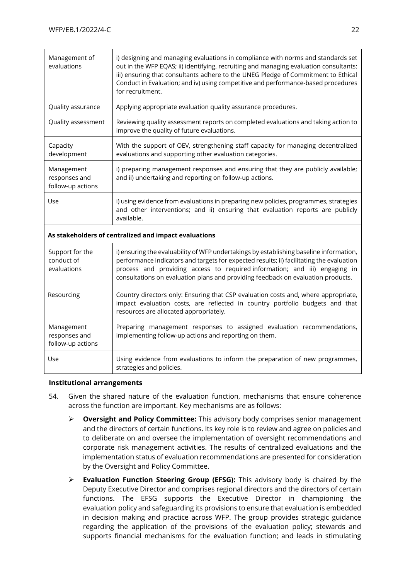| Management of<br>evaluations                          | i) designing and managing evaluations in compliance with norms and standards set<br>out in the WFP EQAS; ii) identifying, recruiting and managing evaluation consultants;<br>iii) ensuring that consultants adhere to the UNEG Pledge of Commitment to Ethical<br>Conduct in Evaluation; and iv) using competitive and performance-based procedures<br>for recruitment. |  |
|-------------------------------------------------------|-------------------------------------------------------------------------------------------------------------------------------------------------------------------------------------------------------------------------------------------------------------------------------------------------------------------------------------------------------------------------|--|
| Quality assurance                                     | Applying appropriate evaluation quality assurance procedures.                                                                                                                                                                                                                                                                                                           |  |
| Quality assessment                                    | Reviewing quality assessment reports on completed evaluations and taking action to<br>improve the quality of future evaluations.                                                                                                                                                                                                                                        |  |
| Capacity<br>development                               | With the support of OEV, strengthening staff capacity for managing decentralized<br>evaluations and supporting other evaluation categories.                                                                                                                                                                                                                             |  |
| Management<br>responses and<br>follow-up actions      | i) preparing management responses and ensuring that they are publicly available;<br>and ii) undertaking and reporting on follow-up actions.                                                                                                                                                                                                                             |  |
| Use                                                   | i) using evidence from evaluations in preparing new policies, programmes, strategies<br>and other interventions; and ii) ensuring that evaluation reports are publicly<br>available.                                                                                                                                                                                    |  |
| As stakeholders of centralized and impact evaluations |                                                                                                                                                                                                                                                                                                                                                                         |  |
| Support for the<br>conduct of<br>evaluations          | i) ensuring the evaluability of WFP undertakings by establishing baseline information,<br>performance indicators and targets for expected results; ii) facilitating the evaluation<br>process and providing access to required information; and iii) engaging in<br>consultations on evaluation plans and providing feedback on evaluation products.                    |  |
| Resourcing                                            | Country directors only: Ensuring that CSP evaluation costs and, where appropriate,<br>impact evaluation costs, are reflected in country portfolio budgets and that<br>resources are allocated appropriately.                                                                                                                                                            |  |
| Management<br>responses and<br>follow-up actions      | Preparing management responses to assigned evaluation recommendations,<br>implementing follow-up actions and reporting on them.                                                                                                                                                                                                                                         |  |
| Use                                                   | Using evidence from evaluations to inform the preparation of new programmes,<br>strategies and policies.                                                                                                                                                                                                                                                                |  |

#### **Institutional arrangements**

- 54. Given the shared nature of the evaluation function, mechanisms that ensure coherence across the function are important. Key mechanisms are as follows:
	- ➢ **Oversight and Policy Committee:** This advisory body comprises senior management and the directors of certain functions. Its key role is to review and agree on policies and to deliberate on and oversee the implementation of oversight recommendations and corporate risk management activities. The results of centralized evaluations and the implementation status of evaluation recommendations are presented for consideration by the Oversight and Policy Committee.
	- ➢ **Evaluation Function Steering Group (EFSG):** This advisory body is chaired by the Deputy Executive Director and comprises regional directors and the directors of certain functions. The EFSG supports the Executive Director in championing the evaluation policy and safeguarding its provisions to ensure that evaluation is embedded in decision making and practice across WFP. The group provides strategic guidance regarding the application of the provisions of the evaluation policy; stewards and supports financial mechanisms for the evaluation function; and leads in stimulating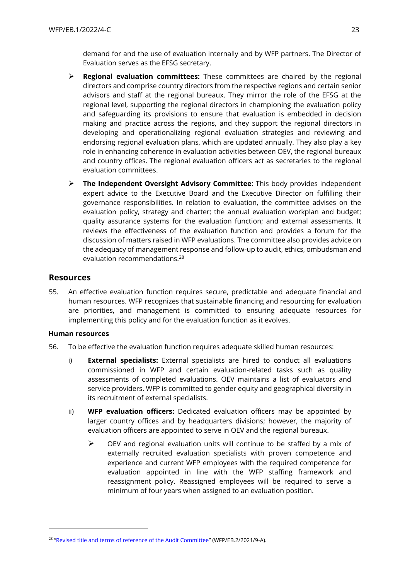demand for and the use of evaluation internally and by WFP partners. The Director of Evaluation serves as the EFSG secretary.

- ➢ **Regional evaluation committees:** These committees are chaired by the regional directors and comprise country directors from the respective regions and certain senior advisors and staff at the regional bureaux. They mirror the role of the EFSG at the regional level, supporting the regional directors in championing the evaluation policy and safeguarding its provisions to ensure that evaluation is embedded in decision making and practice across the regions, and they support the regional directors in developing and operationalizing regional evaluation strategies and reviewing and endorsing regional evaluation plans, which are updated annually. They also play a key role in enhancing coherence in evaluation activities between OEV, the regional bureaux and country offices. The regional evaluation officers act as secretaries to the regional evaluation committees.
- ➢ **The Independent Oversight Advisory Committee**: This body provides independent expert advice to the Executive Board and the Executive Director on fulfilling their governance responsibilities. In relation to evaluation, the committee advises on the evaluation policy, strategy and charter; the annual evaluation workplan and budget; quality assurance systems for the evaluation function; and external assessments. It reviews the effectiveness of the evaluation function and provides a forum for the discussion of matters raised in WFP evaluations. The committee also provides advice on the adequacy of management response and follow-up to audit, ethics, ombudsman and evaluation recommendations.<sup>28</sup>

## **Resources**

55. An effective evaluation function requires secure, predictable and adequate financial and human resources. WFP recognizes that sustainable financing and resourcing for evaluation are priorities, and management is committed to ensuring adequate resources for implementing this policy and for the evaluation function as it evolves.

#### **Human resources**

- 56. To be effective the evaluation function requires adequate skilled human resources:
	- i) **External specialists:** External specialists are hired to conduct all evaluations commissioned in WFP and certain evaluation-related tasks such as quality assessments of completed evaluations. OEV maintains a list of evaluators and service providers. WFP is committed to gender equity and geographical diversity in its recruitment of external specialists.
	- ii) **WFP evaluation officers:** Dedicated evaluation officers may be appointed by larger country offices and by headquarters divisions; however, the majority of evaluation officers are appointed to serve in OEV and the regional bureaux.
		- ➢ OEV and regional evaluation units will continue to be staffed by a mix of externally recruited evaluation specialists with proven competence and experience and current WFP employees with the required competence for evaluation appointed in line with the WFP staffing framework and reassignment policy. Reassigned employees will be required to serve a minimum of four years when assigned to an evaluation position.

<sup>&</sup>lt;sup>28</sup> "[Revised title and terms of reference of the Audit Committee](https://executiveboard.wfp.org/document_download/WFP-0000132234)" (WFP/EB.2/2021/9-A).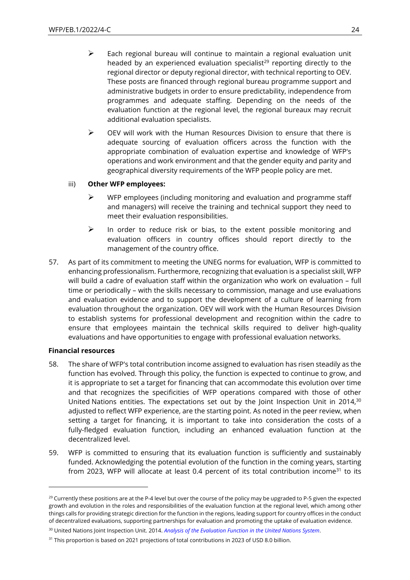- $\triangleright$  Each regional bureau will continue to maintain a regional evaluation unit headed by an experienced evaluation specialist<sup>29</sup> reporting directly to the regional director or deputy regional director, with technical reporting to OEV. These posts are financed through regional bureau programme support and administrative budgets in order to ensure predictability, independence from programmes and adequate staffing. Depending on the needs of the evaluation function at the regional level, the regional bureaux may recruit additional evaluation specialists.
- $\triangleright$  OEV will work with the Human Resources Division to ensure that there is adequate sourcing of evaluation officers across the function with the appropriate combination of evaluation expertise and knowledge of WFP's operations and work environment and that the gender equity and parity and geographical diversity requirements of the WFP people policy are met.

#### iii) **Other WFP employees:**

- $\triangleright$  WFP employees (including monitoring and evaluation and programme staff and managers) will receive the training and technical support they need to meet their evaluation responsibilities.
- $\triangleright$  In order to reduce risk or bias, to the extent possible monitoring and evaluation officers in country offices should report directly to the management of the country office.
- 57. As part of its commitment to meeting the UNEG norms for evaluation, WFP is committed to enhancing professionalism. Furthermore, recognizing that evaluation is a specialist skill, WFP will build a cadre of evaluation staff within the organization who work on evaluation – full time or periodically – with the skills necessary to commission, manage and use evaluations and evaluation evidence and to support the development of a culture of learning from evaluation throughout the organization. OEV will work with the Human Resources Division to establish systems for professional development and recognition within the cadre to ensure that employees maintain the technical skills required to deliver high-quality evaluations and have opportunities to engage with professional evaluation networks.

#### **Financial resources**

- 58. The share of WFP's total contribution income assigned to evaluation has risen steadily as the function has evolved. Through this policy, the function is expected to continue to grow, and it is appropriate to set a target for financing that can accommodate this evolution over time and that recognizes the specificities of WFP operations compared with those of other United Nations entities. The expectations set out by the Joint Inspection Unit in 2014,<sup>30</sup> adjusted to reflect WFP experience, are the starting point. As noted in the peer review, when setting a target for financing, it is important to take into consideration the costs of a fully-fledged evaluation function, including an enhanced evaluation function at the decentralized level.
- 59. WFP is committed to ensuring that its evaluation function is sufficiently and sustainably funded. Acknowledging the potential evolution of the function in the coming years, starting from 2023, WFP will allocate at least 0.4 percent of its total contribution income<sup>31</sup> to its

 $29$  Currently these positions are at the P-4 level but over the course of the policy may be upgraded to P-5 given the expected growth and evolution in the roles and responsibilities of the evaluation function at the regional level, which among other things calls for providing strategic direction for the function in the regions, leading support for country offices in the conduct of decentralized evaluations, supporting partnerships for evaluation and promoting the uptake of evaluation evidence.

<sup>30</sup> United Nations Joint Inspection Unit. 2014. *[Analysis of the Evaluation Function in the United Nations System](https://www.unjiu.org/sites/www.unjiu.org/files/jiu_document_files/products/en/reports-notes/JIU%20Products/JIU_REP_2014_6_English.pdf)*.

<sup>&</sup>lt;sup>31</sup> This proportion is based on 2021 projections of total contributions in 2023 of USD 8.0 billion.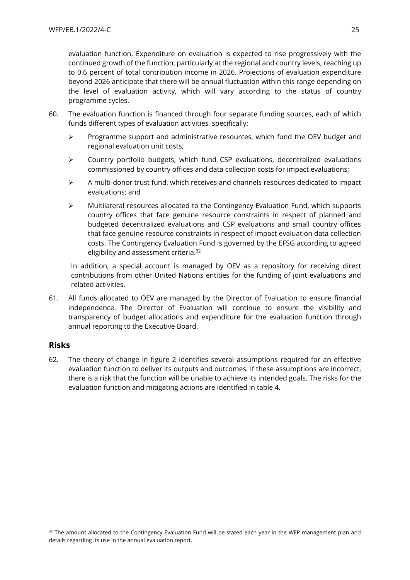evaluation function. Expenditure on evaluation is expected to rise progressively with the continued growth of the function, particularly at the regional and country levels, reaching up to 0.6 percent of total contribution income in 2026. Projections of evaluation expenditure beyond 2026 anticipate that there will be annual fluctuation within this range depending on the level of evaluation activity, which will vary according to the status of country programme cycles.

- 60. The evaluation function is financed through four separate funding sources, each of which funds different types of evaluation activities, specifically:
	- ➢ Programme support and administrative resources, which fund the OEV budget and regional evaluation unit costs;
	- $\triangleright$  Country portfolio budgets, which fund CSP evaluations, decentralized evaluations commissioned by country offices and data collection costs for impact evaluations;
	- $\triangleright$  A multi-donor trust fund, which receives and channels resources dedicated to impact evaluations; and
	- ➢ Multilateral resources allocated to the Contingency Evaluation Fund, which supports country offices that face genuine resource constraints in respect of planned and budgeted decentralized evaluations and CSP evaluations and small country offices that face genuine resource constraints in respect of impact evaluation data collection costs. The Contingency Evaluation Fund is governed by the EFSG according to agreed eligibility and assessment criteria.<sup>32</sup>

In addition, a special account is managed by OEV as a repository for receiving direct contributions from other United Nations entities for the funding of joint evaluations and related activities.

61. All funds allocated to OEV are managed by the Director of Evaluation to ensure financial independence. The Director of Evaluation will continue to ensure the visibility and transparency of budget allocations and expenditure for the evaluation function through annual reporting to the Executive Board.

## **Risks**

62. The theory of change in figure 2 identifies several assumptions required for an effective evaluation function to deliver its outputs and outcomes. If these assumptions are incorrect, there is a risk that the function will be unable to achieve its intended goals. The risks for the evaluation function and mitigating actions are identified in table 4.

 $32$  The amount allocated to the Contingency Evaluation Fund will be stated each year in the WFP management plan and details regarding its use in the annual evaluation report.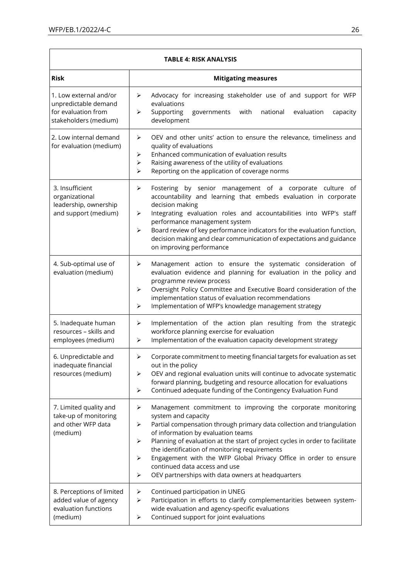'n

| TABLE 4: RISK ANALYSIS                                                                         |                                                                                                                                                                                                                                                                                                                                                                                                                                                                                                                        |  |  |
|------------------------------------------------------------------------------------------------|------------------------------------------------------------------------------------------------------------------------------------------------------------------------------------------------------------------------------------------------------------------------------------------------------------------------------------------------------------------------------------------------------------------------------------------------------------------------------------------------------------------------|--|--|
| <b>Risk</b>                                                                                    | <b>Mitigating measures</b>                                                                                                                                                                                                                                                                                                                                                                                                                                                                                             |  |  |
| 1. Low external and/or<br>unpredictable demand<br>for evaluation from<br>stakeholders (medium) | Advocacy for increasing stakeholder use of and support for WFP<br>➤<br>evaluations<br>Supporting<br>with<br>national<br>evaluation<br>governments<br>capacity<br>⋗<br>development                                                                                                                                                                                                                                                                                                                                      |  |  |
| 2. Low internal demand<br>for evaluation (medium)                                              | OEV and other units' action to ensure the relevance, timeliness and<br>➤<br>quality of evaluations<br>Enhanced communication of evaluation results<br>➤<br>Raising awareness of the utility of evaluations<br>➤<br>Reporting on the application of coverage norms<br>⋗                                                                                                                                                                                                                                                 |  |  |
| 3. Insufficient<br>organizational<br>leadership, ownership<br>and support (medium)             | ➤<br>Fostering by senior management of a corporate culture of<br>accountability and learning that embeds evaluation in corporate<br>decision making<br>Integrating evaluation roles and accountabilities into WFP's staff<br>➤<br>performance management system<br>Board review of key performance indicators for the evaluation function,<br>➤<br>decision making and clear communication of expectations and guidance<br>on improving performance                                                                    |  |  |
| 4. Sub-optimal use of<br>evaluation (medium)                                                   | Management action to ensure the systematic consideration of<br>➤<br>evaluation evidence and planning for evaluation in the policy and<br>programme review process<br>Oversight Policy Committee and Executive Board consideration of the<br>➤<br>implementation status of evaluation recommendations<br>Implementation of WFP's knowledge management strategy<br>➤                                                                                                                                                     |  |  |
| 5. Inadequate human<br>resources - skills and<br>employees (medium)                            | Implementation of the action plan resulting from the strategic<br>➤<br>workforce planning exercise for evaluation<br>Implementation of the evaluation capacity development strategy<br>➤                                                                                                                                                                                                                                                                                                                               |  |  |
| 6. Unpredictable and<br>inadequate financial<br>resources (medium)                             | Corporate commitment to meeting financial targets for evaluation as set<br>⋗<br>out in the policy<br>OEV and regional evaluation units will continue to advocate systematic<br>➤<br>forward planning, budgeting and resource allocation for evaluations<br>Continued adequate funding of the Contingency Evaluation Fund<br>➤                                                                                                                                                                                          |  |  |
| 7. Limited quality and<br>take-up of monitoring<br>and other WFP data<br>(medium)              | Management commitment to improving the corporate monitoring<br>➤<br>system and capacity<br>Partial compensation through primary data collection and triangulation<br>➤<br>of information by evaluation teams<br>Planning of evaluation at the start of project cycles in order to facilitate<br>➤<br>the identification of monitoring requirements<br>Engagement with the WFP Global Privacy Office in order to ensure<br>➤<br>continued data access and use<br>OEV partnerships with data owners at headquarters<br>➤ |  |  |
| 8. Perceptions of limited<br>added value of agency<br>evaluation functions<br>(medium)         | Continued participation in UNEG<br>➤<br>Participation in efforts to clarify complementarities between system-<br>➤<br>wide evaluation and agency-specific evaluations<br>Continued support for joint evaluations<br>➤                                                                                                                                                                                                                                                                                                  |  |  |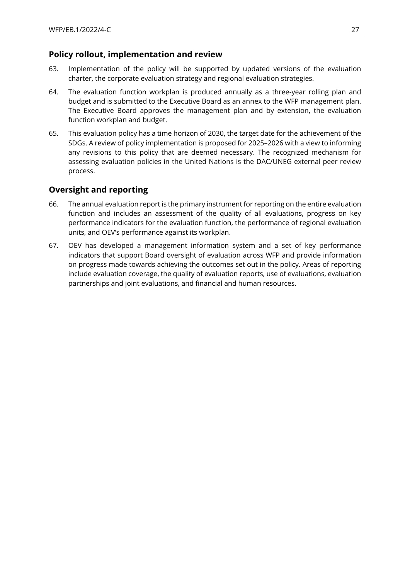## **Policy rollout, implementation and review**

- 63. Implementation of the policy will be supported by updated versions of the evaluation charter, the corporate evaluation strategy and regional evaluation strategies.
- 64. The evaluation function workplan is produced annually as a three-year rolling plan and budget and is submitted to the Executive Board as an annex to the WFP management plan. The Executive Board approves the management plan and by extension, the evaluation function workplan and budget.
- 65. This evaluation policy has a time horizon of 2030, the target date for the achievement of the SDGs. A review of policy implementation is proposed for 2025–2026 with a view to informing any revisions to this policy that are deemed necessary. The recognized mechanism for assessing evaluation policies in the United Nations is the DAC/UNEG external peer review process.

## **Oversight and reporting**

- 66. The annual evaluation report is the primary instrument for reporting on the entire evaluation function and includes an assessment of the quality of all evaluations, progress on key performance indicators for the evaluation function, the performance of regional evaluation units, and OEV's performance against its workplan.
- 67. OEV has developed a management information system and a set of key performance indicators that support Board oversight of evaluation across WFP and provide information on progress made towards achieving the outcomes set out in the policy. Areas of reporting include evaluation coverage, the quality of evaluation reports, use of evaluations, evaluation partnerships and joint evaluations, and financial and human resources.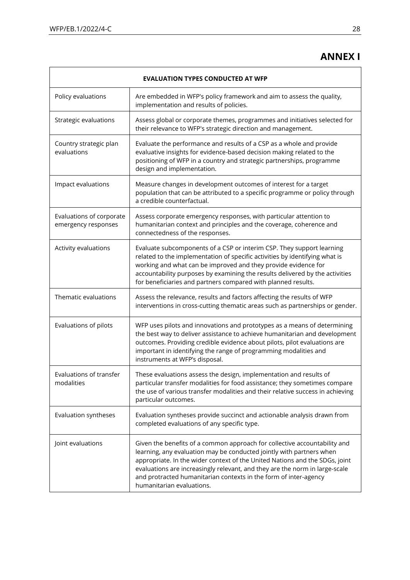## **ANNEX I**

| <b>EVALUATION TYPES CONDUCTED AT WFP</b>        |                                                                                                                                                                                                                                                                                                                                                                                                                  |  |
|-------------------------------------------------|------------------------------------------------------------------------------------------------------------------------------------------------------------------------------------------------------------------------------------------------------------------------------------------------------------------------------------------------------------------------------------------------------------------|--|
| Policy evaluations                              | Are embedded in WFP's policy framework and aim to assess the quality,<br>implementation and results of policies.                                                                                                                                                                                                                                                                                                 |  |
| Strategic evaluations                           | Assess global or corporate themes, programmes and initiatives selected for<br>their relevance to WFP's strategic direction and management.                                                                                                                                                                                                                                                                       |  |
| Country strategic plan<br>evaluations           | Evaluate the performance and results of a CSP as a whole and provide<br>evaluative insights for evidence-based decision making related to the<br>positioning of WFP in a country and strategic partnerships, programme<br>design and implementation.                                                                                                                                                             |  |
| Impact evaluations                              | Measure changes in development outcomes of interest for a target<br>population that can be attributed to a specific programme or policy through<br>a credible counterfactual.                                                                                                                                                                                                                                    |  |
| Evaluations of corporate<br>emergency responses | Assess corporate emergency responses, with particular attention to<br>humanitarian context and principles and the coverage, coherence and<br>connectedness of the responses.                                                                                                                                                                                                                                     |  |
| Activity evaluations                            | Evaluate subcomponents of a CSP or interim CSP. They support learning<br>related to the implementation of specific activities by identifying what is<br>working and what can be improved and they provide evidence for<br>accountability purposes by examining the results delivered by the activities<br>for beneficiaries and partners compared with planned results.                                          |  |
| Thematic evaluations                            | Assess the relevance, results and factors affecting the results of WFP<br>interventions in cross-cutting thematic areas such as partnerships or gender.                                                                                                                                                                                                                                                          |  |
| Evaluations of pilots                           | WFP uses pilots and innovations and prototypes as a means of determining<br>the best way to deliver assistance to achieve humanitarian and development<br>outcomes. Providing credible evidence about pilots, pilot evaluations are<br>important in identifying the range of programming modalities and<br>instruments at WFP's disposal.                                                                        |  |
| Evaluations of transfer<br>modalities           | These evaluations assess the design, implementation and results of<br>particular transfer modalities for food assistance; they sometimes compare<br>the use of various transfer modalities and their relative success in achieving<br>particular outcomes.                                                                                                                                                       |  |
| Evaluation syntheses                            | Evaluation syntheses provide succinct and actionable analysis drawn from<br>completed evaluations of any specific type.                                                                                                                                                                                                                                                                                          |  |
| Joint evaluations                               | Given the benefits of a common approach for collective accountability and<br>learning, any evaluation may be conducted jointly with partners when<br>appropriate. In the wider context of the United Nations and the SDGs, joint<br>evaluations are increasingly relevant, and they are the norm in large-scale<br>and protracted humanitarian contexts in the form of inter-agency<br>humanitarian evaluations. |  |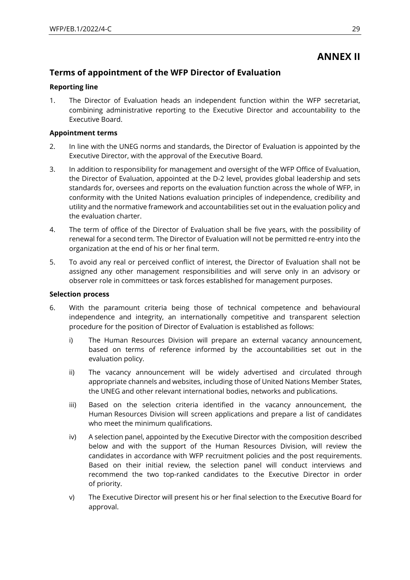## **ANNEX II**

## **Terms of appointment of the WFP Director of Evaluation**

#### **Reporting line**

1. The Director of Evaluation heads an independent function within the WFP secretariat, combining administrative reporting to the Executive Director and accountability to the Executive Board.

#### **Appointment terms**

- 2. In line with the UNEG norms and standards, the Director of Evaluation is appointed by the Executive Director, with the approval of the Executive Board.
- 3. In addition to responsibility for management and oversight of the WFP Office of Evaluation, the Director of Evaluation, appointed at the D-2 level, provides global leadership and sets standards for, oversees and reports on the evaluation function across the whole of WFP, in conformity with the United Nations evaluation principles of independence, credibility and utility and the normative framework and accountabilities set out in the evaluation policy and the evaluation charter.
- 4. The term of office of the Director of Evaluation shall be five years, with the possibility of renewal for a second term. The Director of Evaluation will not be permitted re-entry into the organization at the end of his or her final term.
- 5. To avoid any real or perceived conflict of interest, the Director of Evaluation shall not be assigned any other management responsibilities and will serve only in an advisory or observer role in committees or task forces established for management purposes.

#### **Selection process**

- 6. With the paramount criteria being those of technical competence and behavioural independence and integrity, an internationally competitive and transparent selection procedure for the position of Director of Evaluation is established as follows:
	- i) The Human Resources Division will prepare an external vacancy announcement, based on terms of reference informed by the accountabilities set out in the evaluation policy.
	- ii) The vacancy announcement will be widely advertised and circulated through appropriate channels and websites, including those of United Nations Member States, the UNEG and other relevant international bodies, networks and publications.
	- iii) Based on the selection criteria identified in the vacancy announcement, the Human Resources Division will screen applications and prepare a list of candidates who meet the minimum qualifications.
	- iv) A selection panel, appointed by the Executive Director with the composition described below and with the support of the Human Resources Division, will review the candidates in accordance with WFP recruitment policies and the post requirements. Based on their initial review, the selection panel will conduct interviews and recommend the two top-ranked candidates to the Executive Director in order of priority.
	- v) The Executive Director will present his or her final selection to the Executive Board for approval.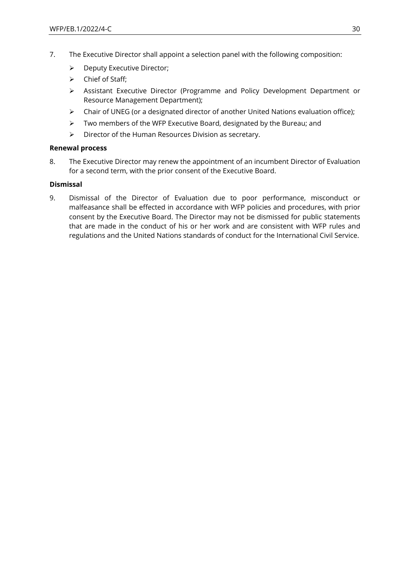- 7. The Executive Director shall appoint a selection panel with the following composition:
	- ➢ Deputy Executive Director;
	- ➢ Chief of Staff;
	- ➢ Assistant Executive Director (Programme and Policy Development Department or Resource Management Department);
	- ➢ Chair of UNEG (or a designated director of another United Nations evaluation office);
	- ➢ Two members of the WFP Executive Board, designated by the Bureau; and
	- ➢ Director of the Human Resources Division as secretary.

#### **Renewal process**

8. The Executive Director may renew the appointment of an incumbent Director of Evaluation for a second term, with the prior consent of the Executive Board.

#### **Dismissal**

9. Dismissal of the Director of Evaluation due to poor performance, misconduct or malfeasance shall be effected in accordance with WFP policies and procedures, with prior consent by the Executive Board. The Director may not be dismissed for public statements that are made in the conduct of his or her work and are consistent with WFP rules and regulations and the United Nations standards of conduct for the International Civil Service.